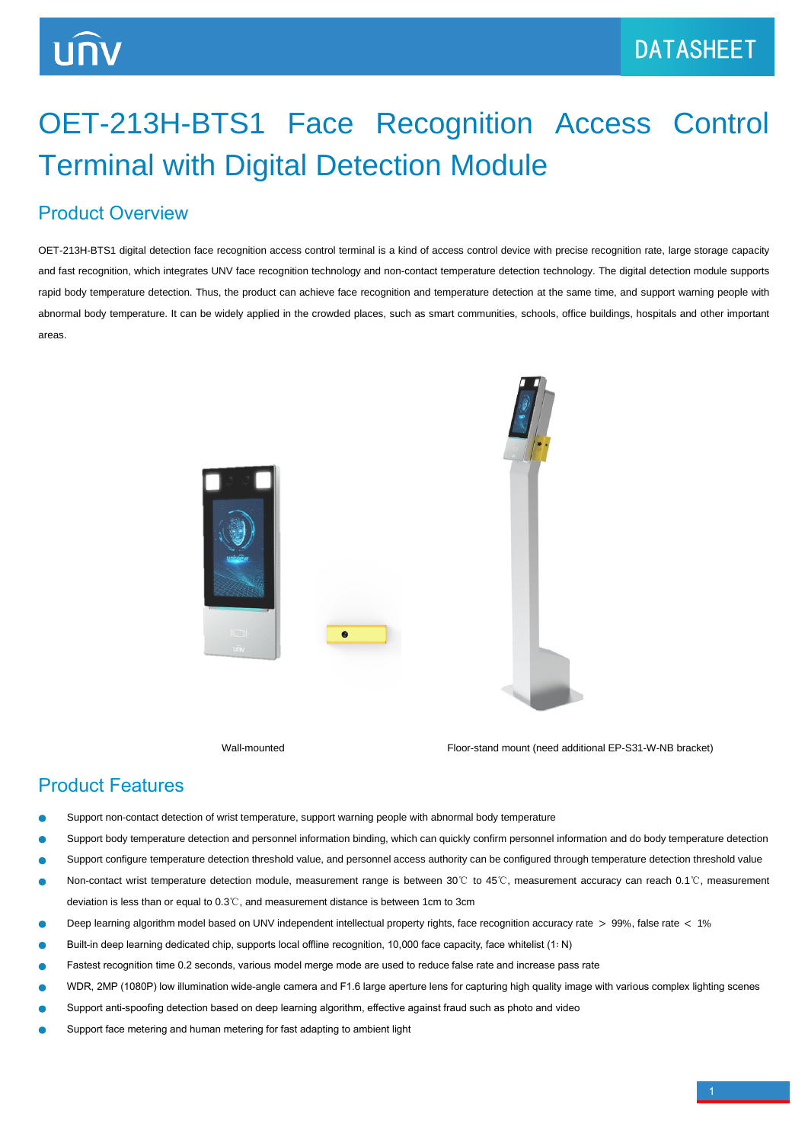# OET-213H-BTS1 Face Recognition Access Control Terminal with Digital Detection Module

## Product Overview

OET-213H-BTS1 digital detection face recognition access control terminal is a kind of access control device with precise recognition rate, large storage capacity and fast recognition, which integrates UNV face recognition technology and non-contact temperature detection technology. The digital detection module supports rapid body temperature detection. Thus, the product can achieve face recognition and temperature detection at the same time, and support warning people with abnormal body temperature. It can be widely applied in the crowded places, such as smart communities, schools, office buildings, hospitals and other important areas.



Wall-mounted **Floor-stand mount (need additional EP-S31-W-NB bracket)** 

### Product Features

- Support non-contact detection of wrist temperature, support warning people with abnormal body temperature
- Support body temperature detection and personnel information binding, which can quickly confirm personnel information and do body temperature detection
- Support configure temperature detection threshold value, and personnel access authority can be configured through temperature detection threshold value
- Non-contact wrist temperature detection module, measurement range is between 30℃ to 45℃, measurement accuracy can reach 0.1℃, measurement deviation is less than or equal to 0.3℃, and measurement distance is between 1cm to 3cm
- Deep learning algorithm model based on UNV independent intellectual property rights, face recognition accuracy rate > 99%, false rate < 1%
- Built-in deep learning dedicated chip, supports local offline recognition, 10,000 face capacity, face whitelist (1∶ N)
- Fastest recognition time 0.2 seconds, various model merge mode are used to reduce false rate and increase pass rate
- WDR, 2MP (1080P) low illumination wide-angle camera and F1.6 large aperture lens for capturing high quality image with various complex lighting scenes
- Support anti-spoofing detection based on deep learning algorithm, effective against fraud such as photo and video
- Support face metering and human metering for fast adapting to ambient light